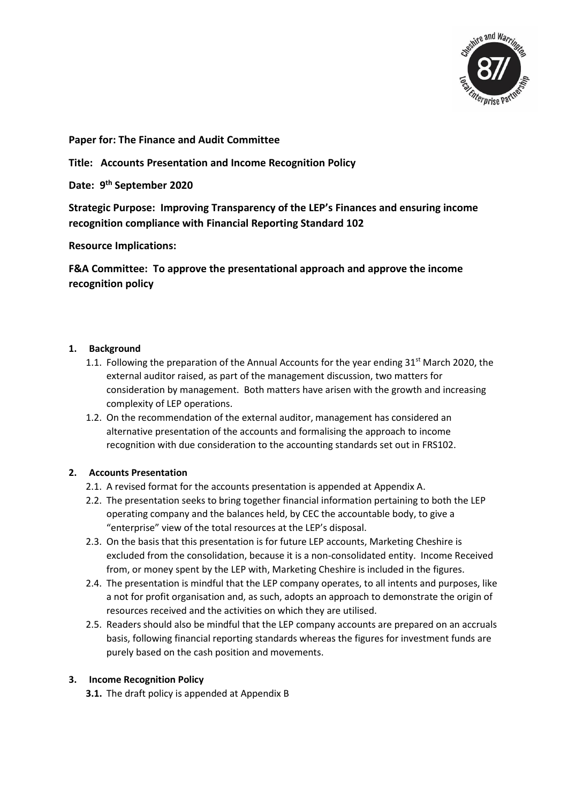

**Paper for: The Finance and Audit Committee**

**Title: Accounts Presentation and Income Recognition Policy**

**Date: 9 th September 2020**

**Strategic Purpose: Improving Transparency of the LEP's Finances and ensuring income recognition compliance with Financial Reporting Standard 102**

**Resource Implications:** 

**F&A Committee: To approve the presentational approach and approve the income recognition policy**

## **1. Background**

- 1.1. Following the preparation of the Annual Accounts for the year ending  $31<sup>st</sup>$  March 2020, the external auditor raised, as part of the management discussion, two matters for consideration by management. Both matters have arisen with the growth and increasing complexity of LEP operations.
- 1.2. On the recommendation of the external auditor, management has considered an alternative presentation of the accounts and formalising the approach to income recognition with due consideration to the accounting standards set out in FRS102.

## **2. Accounts Presentation**

- 2.1. A revised format for the accounts presentation is appended at Appendix A.
- 2.2. The presentation seeks to bring together financial information pertaining to both the LEP operating company and the balances held, by CEC the accountable body, to give a "enterprise" view of the total resources at the LEP's disposal.
- 2.3. On the basis that this presentation is for future LEP accounts, Marketing Cheshire is excluded from the consolidation, because it is a non-consolidated entity. Income Received from, or money spent by the LEP with, Marketing Cheshire is included in the figures.
- 2.4. The presentation is mindful that the LEP company operates, to all intents and purposes, like a not for profit organisation and, as such, adopts an approach to demonstrate the origin of resources received and the activities on which they are utilised.
- 2.5. Readers should also be mindful that the LEP company accounts are prepared on an accruals basis, following financial reporting standards whereas the figures for investment funds are purely based on the cash position and movements.

#### **3. Income Recognition Policy**

**3.1.** The draft policy is appended at Appendix B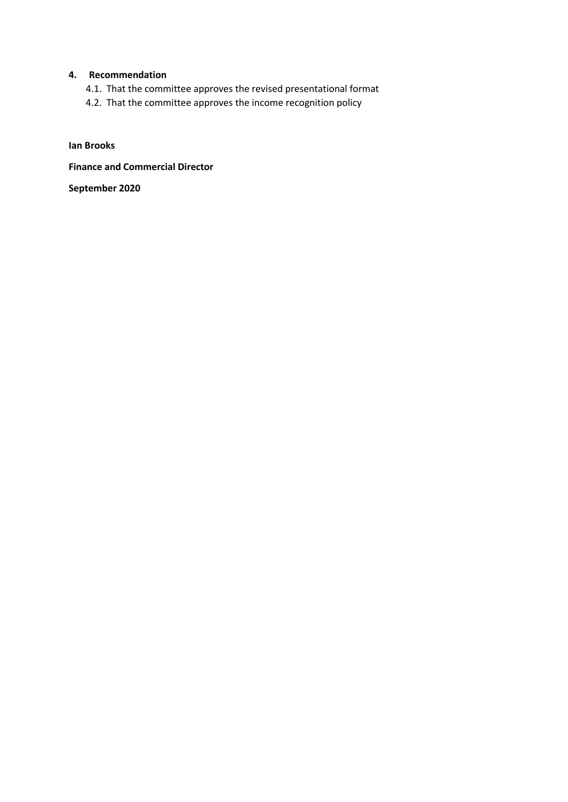## **4. Recommendation**

- 4.1. That the committee approves the revised presentational format
- 4.2. That the committee approves the income recognition policy

**Ian Brooks**

**Finance and Commercial Director**

**September 2020**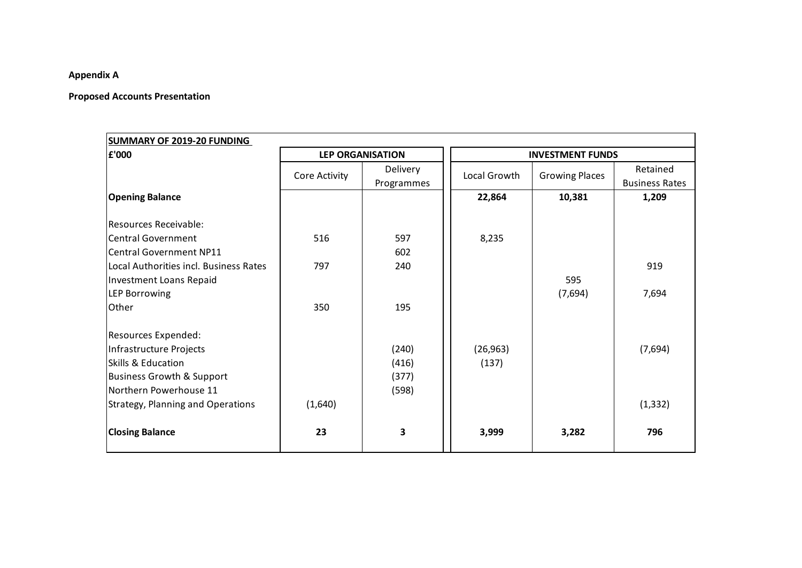## **Appendix A**

## **Proposed Accounts Presentation**

| <b>SUMMARY OF 2019-20 FUNDING</b>        |                         |            |                         |                       |                       |
|------------------------------------------|-------------------------|------------|-------------------------|-----------------------|-----------------------|
| £'000                                    | <b>LEP ORGANISATION</b> |            | <b>INVESTMENT FUNDS</b> |                       |                       |
|                                          | Core Activity           | Delivery   | Local Growth            | <b>Growing Places</b> | Retained              |
|                                          |                         | Programmes |                         |                       | <b>Business Rates</b> |
| <b>Opening Balance</b>                   |                         |            | 22,864                  | 10,381                | 1,209                 |
|                                          |                         |            |                         |                       |                       |
| Resources Receivable:                    |                         |            |                         |                       |                       |
| <b>Central Government</b>                | 516                     | 597        | 8,235                   |                       |                       |
| <b>Central Government NP11</b>           |                         | 602        |                         |                       |                       |
| Local Authorities incl. Business Rates   | 797                     | 240        |                         |                       | 919                   |
| <b>Investment Loans Repaid</b>           |                         |            |                         | 595                   |                       |
| <b>LEP Borrowing</b>                     |                         |            |                         | (7,694)               | 7,694                 |
| Other                                    | 350                     | 195        |                         |                       |                       |
| Resources Expended:                      |                         |            |                         |                       |                       |
| Infrastructure Projects                  |                         | (240)      | (26, 963)               |                       | (7,694)               |
| Skills & Education                       |                         | (416)      | (137)                   |                       |                       |
| <b>Business Growth &amp; Support</b>     |                         | (377)      |                         |                       |                       |
| Northern Powerhouse 11                   |                         | (598)      |                         |                       |                       |
| <b>Strategy, Planning and Operations</b> | (1,640)                 |            |                         |                       | (1, 332)              |
| <b>Closing Balance</b>                   | 23                      | 3          | 3,999                   | 3,282                 | 796                   |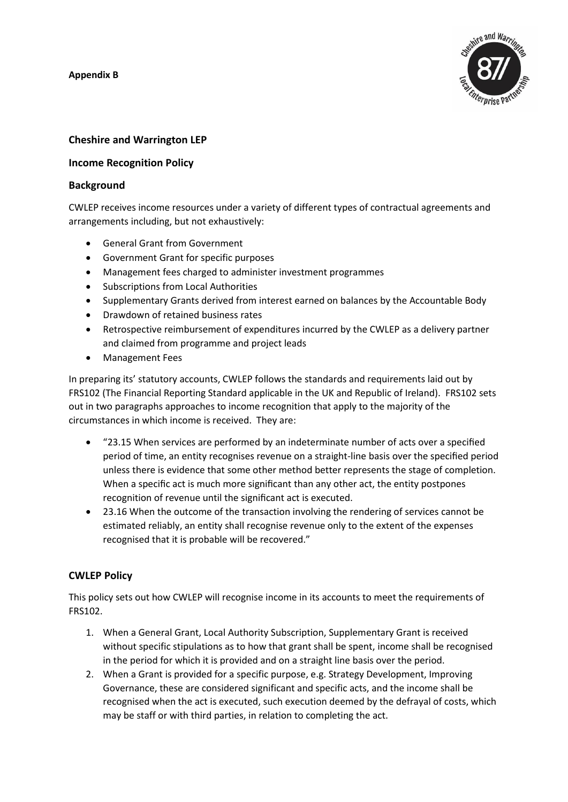**Appendix B**



# **Cheshire and Warrington LEP**

## **Income Recognition Policy**

#### **Background**

CWLEP receives income resources under a variety of different types of contractual agreements and arrangements including, but not exhaustively:

- General Grant from Government
- Government Grant for specific purposes
- Management fees charged to administer investment programmes
- Subscriptions from Local Authorities
- Supplementary Grants derived from interest earned on balances by the Accountable Body
- Drawdown of retained business rates
- Retrospective reimbursement of expenditures incurred by the CWLEP as a delivery partner and claimed from programme and project leads
- Management Fees

In preparing its' statutory accounts, CWLEP follows the standards and requirements laid out by FRS102 (The Financial Reporting Standard applicable in the UK and Republic of Ireland). FRS102 sets out in two paragraphs approaches to income recognition that apply to the majority of the circumstances in which income is received. They are:

- "23.15 When services are performed by an indeterminate number of acts over a specified period of time, an entity recognises revenue on a straight-line basis over the specified period unless there is evidence that some other method better represents the stage of completion. When a specific act is much more significant than any other act, the entity postpones recognition of revenue until the significant act is executed.
- 23.16 When the outcome of the transaction involving the rendering of services cannot be estimated reliably, an entity shall recognise revenue only to the extent of the expenses recognised that it is probable will be recovered."

# **CWLEP Policy**

This policy sets out how CWLEP will recognise income in its accounts to meet the requirements of FRS102.

- 1. When a General Grant, Local Authority Subscription, Supplementary Grant is received without specific stipulations as to how that grant shall be spent, income shall be recognised in the period for which it is provided and on a straight line basis over the period.
- 2. When a Grant is provided for a specific purpose, e.g. Strategy Development, Improving Governance, these are considered significant and specific acts, and the income shall be recognised when the act is executed, such execution deemed by the defrayal of costs, which may be staff or with third parties, in relation to completing the act.